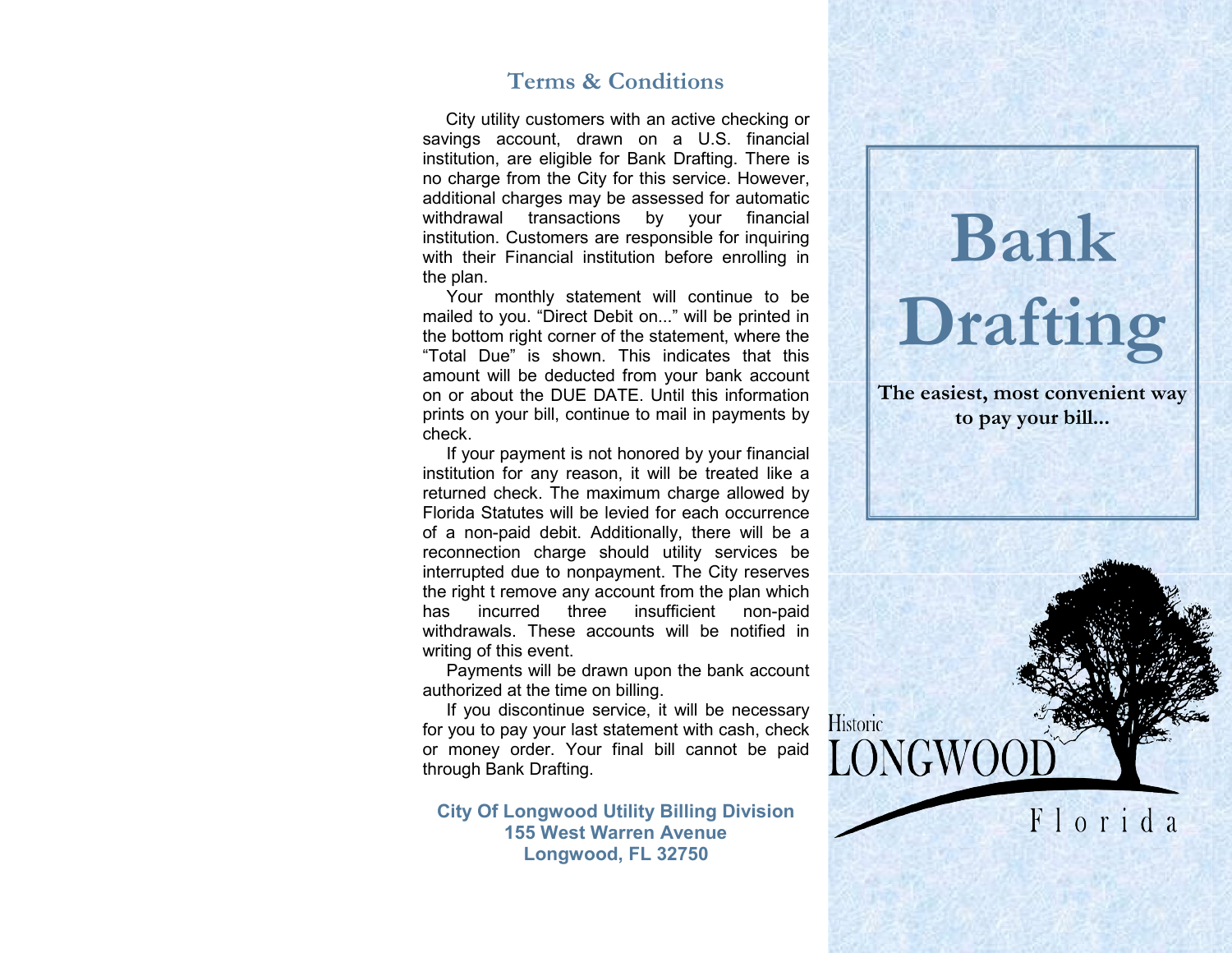